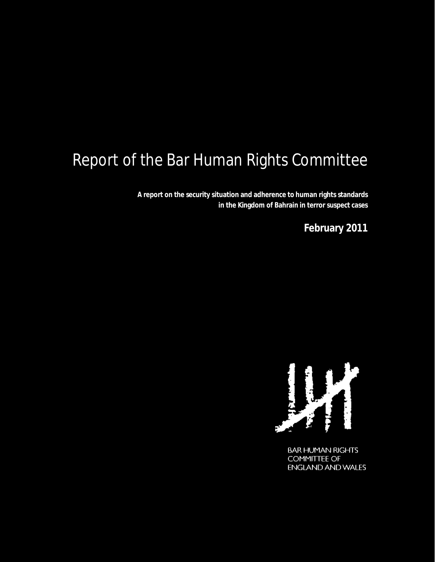# Report of the Bar Human Rights Committee

**A report on the security situation and adherence to human rights standards in the Kingdom of Bahrain in terror suspect cases**

**February 2011**



**BAR HUMAN RIGHTS COMMITTEE OF ENGLAND AND WALES**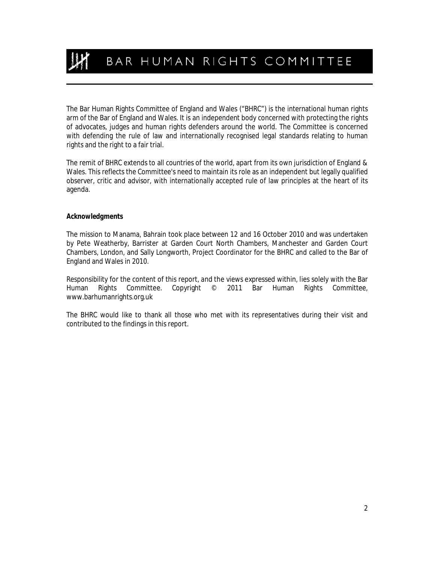BAR HUMAN RIGHTS COMMITTEE

The Bar Human Rights Committee of England and Wales ("BHRC") is the international human rights arm of the Bar of England and Wales. It is an independent body concerned with protecting the rights of advocates, judges and human rights defenders around the world. The Committee is concerned with defending the rule of law and internationally recognised legal standards relating to human rights and the right to a fair trial.

The remit of BHRC extends to all countries of the world, apart from its own jurisdiction of England & Wales. This reflects the Committee's need to maintain its role as an independent but legally qualified observer, critic and advisor, with internationally accepted rule of law principles at the heart of its agenda.

#### *Acknowledgments*

The mission to Manama, Bahrain took place between 12 and 16 October 2010 and was undertaken by Pete Weatherby, Barrister at Garden Court North Chambers, Manchester and Garden Court Chambers, London, and Sally Longworth, Project Coordinator for the BHRC and called to the Bar of England and Wales in 2010.

Responsibility for the content of this report, and the views expressed within, lies solely with the Bar Human Rights Committee. Copyright © 2011 Bar Human Rights Committee, www.barhumanrights.org.uk

The BHRC would like to thank all those who met with its representatives during their visit and contributed to the findings in this report.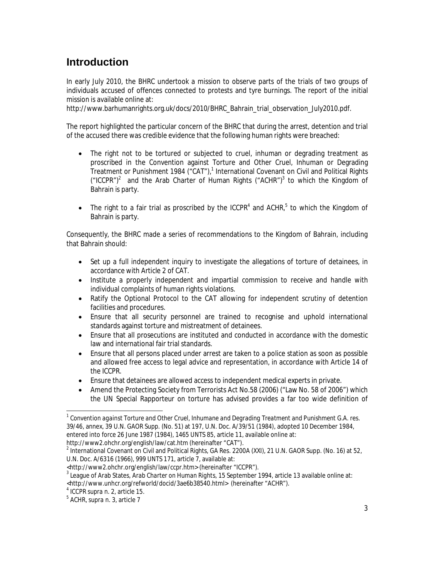# **Introduction**

In early July 2010, the BHRC undertook a mission to observe parts of the trials of two groups of individuals accused of offences connected to protests and tyre burnings. The report of the initial mission is available online at:

http://www.barhumanrights.org.uk/docs/2010/BHRC\_Bahrain\_trial\_observation\_July2010.pdf.

The report highlighted the particular concern of the BHRC that during the arrest, detention and trial of the accused there was credible evidence that the following human rights were breached:

- The right not to be tortured or subjected to cruel, inhuman or degrading treatment as proscribed in the Convention against Torture and Other Cruel, Inhuman or Degrading Treatment or Punishment 1984 ("CAT"),<sup>1</sup> International Covenant on Civil and Political Rights ("ICCPR")<sup>2</sup> and the Arab Charter of Human Rights ("ACHR")<sup>3</sup> to which the Kingdom of Bahrain is party.
- The right to a fair trial as proscribed by the ICCPR<sup>4</sup> and ACHR,<sup>5</sup> to which the Kingdom of Bahrain is party.

Consequently, the BHRC made a series of recommendations to the Kingdom of Bahrain, including that Bahrain should:

- Set up a full independent inquiry to investigate the allegations of torture of detainees, in accordance with Article 2 of CAT.
- Institute a properly independent and impartial commission to receive and handle with individual complaints of human rights violations.
- Ratify the Optional Protocol to the CAT allowing for independent scrutiny of detention facilities and procedures.
- Ensure that all security personnel are trained to recognise and uphold international standards against torture and mistreatment of detainees.
- Ensure that all prosecutions are instituted and conducted in accordance with the domestic law and international fair trial standards.
- Ensure that all persons placed under arrest are taken to a police station as soon as possible and allowed free access to legal advice and representation, in accordance with Article 14 of the ICCPR.
- Ensure that detainees are allowed access to independent medical experts in private.
- Amend the Protecting Society from Terrorists Act No.58 (2006) ("Law No. 58 of 2006") which the UN Special Rapporteur on torture has advised provides a far too wide definition of

1

<sup>&</sup>lt;sup>1</sup> Convention against Torture and Other Cruel, Inhumane and Degrading Treatment and Punishment G.A. res. 39/46, annex, 39 U.N. GAOR Supp. (No. 51) at 197, U.N. Doc. A/39/51 (1984), adopted 10 December 1984, entered into force 26 June 1987 (1984), 1465 UNTS 85, article 11, available online at: http://www2.ohchr.org/english/law/cat.htm (hereinafter "CAT").

 $^2$  International Covenant on Civil and Political Rights, GA Res. 2200A (XXI), 21 U.N. GAOR Supp. (No. 16) at 52, U.N. Doc. A/6316 (1966), 999 UNTS 171, article 7, available at:

<sup>&</sup>lt;http://www2.ohchr.org/english/law/ccpr.htm> (hereinafter "ICCPR").

<sup>3</sup> League of Arab States, *Arab Charter on Human Rights*, 15 September 1994, article 13 available online at:

<sup>&</sup>lt;http://www.unhcr.org/refworld/docid/3ae6b38540.html> (hereinafter "ACHR").

<sup>4</sup> ICCPR *supra* n. 2, article 15. <sup>5</sup> ACHR, *supra* n. 3, article 7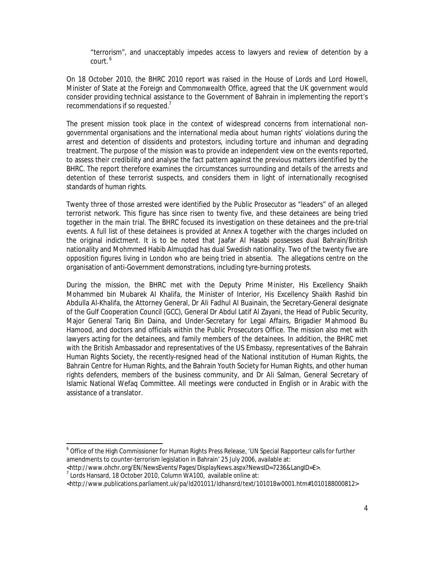"terrorism", and unacceptably impedes access to lawyers and review of detention by a court. <sup>6</sup>

On 18 October 2010, the BHRC 2010 report was raised in the House of Lords and Lord Howell, Minister of State at the Foreign and Commonwealth Office, agreed that the UK government would consider providing technical assistance to the Government of Bahrain in implementing the report's recommendations if so requested.<sup>7</sup>

The present mission took place in the context of widespread concerns from international nongovernmental organisations and the international media about human rights' violations during the arrest and detention of dissidents and protestors, including torture and inhuman and degrading treatment. The purpose of the mission was to provide an independent view on the events reported, to assess their credibility and analyse the fact pattern against the previous matters identified by the BHRC. The report therefore examines the circumstances surrounding and details of the arrests and detention of these terrorist suspects, and considers them in light of internationally recognised standards of human rights.

Twenty three of those arrested were identified by the Public Prosecutor as "leaders" of an alleged terrorist network. This figure has since risen to twenty five, and these detainees are being tried together in the main trial. The BHRC focused its investigation on these detainees and the pre-trial events. A full list of these detainees is provided at Annex A together with the charges included on the original indictment. It is to be noted that Jaafar Al Hasabi possesses dual Bahrain/British nationality and Mohmmed Habib Almuqdad has dual Swedish nationality. Two of the twenty five are opposition figures living in London who are being tried *in absentia*. The allegations centre on the organisation of anti-Government demonstrations, including tyre-burning protests.

During the mission, the BHRC met with the Deputy Prime Minister, His Excellency Shaikh Mohammed bin Mubarek Al Khalifa, the Minister of Interior, His Excellency Shaikh Rashid bin Abdulla Al-Khalifa, the Attorney General, Dr Ali Fadhul Al Buainain, the Secretary-General designate of the Gulf Cooperation Council (GCC), General Dr Abdul Latif Al Zayani, the Head of Public Security, Major General Tariq Bin Daina, and Under-Secretary for Legal Affairs, Brigadier Mahmood Bu Hamood, and doctors and officials within the Public Prosecutors Office. The mission also met with lawyers acting for the detainees, and family members of the detainees. In addition, the BHRC met with the British Ambassador and representatives of the US Embassy, representatives of the Bahrain Human Rights Society, the recently-resigned head of the National institution of Human Rights, the Bahrain Centre for Human Rights, and the Bahrain Youth Society for Human Rights, and other human rights defenders, members of the business community, and Dr Ali Salman, General Secretary of Islamic National Wefaq Committee. All meetings were conducted in English or in Arabic with the assistance of a translator.

<sup>&</sup>lt;sup>6</sup> Office of the High Commissioner for Human Rights Press Release, 'UN Special Rapporteur calls for further amendments to counter-terrorism legislation in Bahrain' 25 July 2006, available at:

<sup>&</sup>lt;http://www.ohchr.org/EN/NewsEvents/Pages/DisplayNews.aspx?NewsID=7236&LangID=E>.

 $7$  Lords Hansard, 18 October 2010, Column WA100, available online at:

<sup>&</sup>lt;http://www.publications.parliament.uk/pa/ld201011/ldhansrd/text/101018w0001.htm#1010188000812>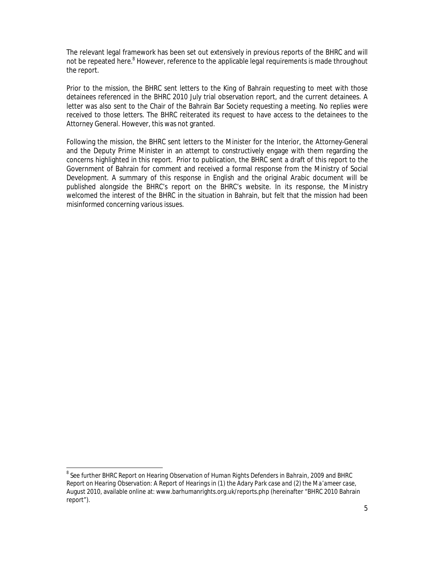The relevant legal framework has been set out extensively in previous reports of the BHRC and will not be repeated here.<sup>8</sup> However, reference to the applicable legal requirements is made throughout the report.

Prior to the mission, the BHRC sent letters to the King of Bahrain requesting to meet with those detainees referenced in the BHRC 2010 July trial observation report, and the current detainees. A letter was also sent to the Chair of the Bahrain Bar Society requesting a meeting. No replies were received to those letters. The BHRC reiterated its request to have access to the detainees to the Attorney General. However, this was not granted.

Following the mission, the BHRC sent letters to the Minister for the Interior, the Attorney-General and the Deputy Prime Minister in an attempt to constructively engage with them regarding the concerns highlighted in this report. Prior to publication, the BHRC sent a draft of this report to the Government of Bahrain for comment and received a formal response from the Ministry of Social Development. A summary of this response in English and the original Arabic document will be published alongside the BHRC's report on the BHRC's website. In its response, the Ministry welcomed the interest of the BHRC in the situation in Bahrain, but felt that the mission had been misinformed concerning various issues.

1

<sup>8</sup> See further *BHRC Report on Hearing Observation of Human Rights Defenders in Bahrain, 2009* and *BHRC Report on Hearing Observation: A Report of Hearings in (1) the Adary Park case and (2) the Ma'ameer case*, August 2010, available online at: www.barhumanrights.org.uk/reports.php (hereinafter "BHRC 2010 Bahrain report").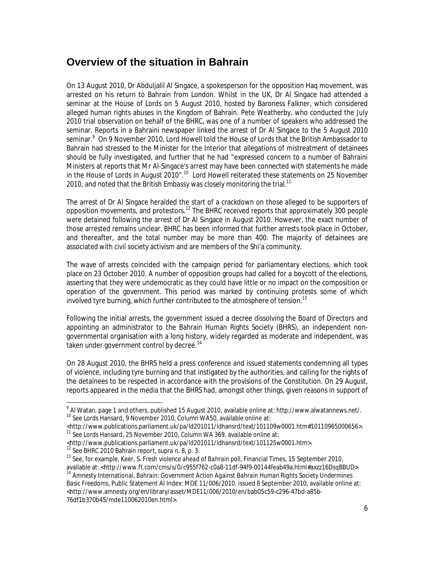#### **Overview of the situation in Bahrain**

On 13 August 2010, Dr Abduljalil Al Singace, a spokesperson for the opposition Haq movement, was arrested on his return to Bahrain from London. Whilst in the UK, Dr Al Singace had attended a seminar at the House of Lords on 5 August 2010, hosted by Baroness Falkner, which considered alleged human rights abuses in the Kingdom of Bahrain. Pete Weatherby, who conducted the July 2010 trial observation on behalf of the BHRC, was one of a number of speakers who addressed the seminar. Reports in a Bahraini newspaper linked the arrest of Dr Al Singace to the 5 August 2010 seminar.<sup>9</sup> On 9 November 2010, Lord Howell told the House of Lords that the British Ambassador to Bahrain had stressed to the Minister for the Interior that allegations of mistreatment of detainees should be fully investigated, and further that he had "expressed concern to a number of Bahraini Ministers at reports that Mr Al-Singace's arrest may have been connected with statements he made in the House of Lords in August 2010".<sup>10</sup> Lord Howell reiterated these statements on 25 November 2010, and noted that the British Embassy was closely monitoring the trial.<sup>11</sup>

The arrest of Dr Al Singace heralded the start of a crackdown on those alleged to be supporters of opposition movements, and protestors.<sup>12</sup> The BHRC received reports that approximately 300 people were detained following the arrest of Dr Al Singace in August 2010. However, the exact number of those arrested remains unclear. BHRC has been informed that further arrests took place in October, and thereafter, and the total number may be more than 400. The majority of detainees are associated with civil society activism and are members of the Shi'a community.

The wave of arrests coincided with the campaign period for parliamentary elections, which took place on 23 October 2010. A number of opposition groups had called for a boycott of the elections, asserting that they were undemocratic as they could have little or no impact on the composition or operation of the government. This period was marked by continuing protests some of which involved tyre burning, which further contributed to the atmosphere of tension.<sup>13</sup>

Following the initial arrests, the government issued a decree dissolving the Board of Directors and appointing an administrator to the Bahrain Human Rights Society (BHRS), an independent nongovernmental organisation with a long history, widely regarded as moderate and independent, was taken under government control by decree.<sup>14</sup>

On 28 August 2010, the BHRS held a press conference and issued statements condemning all types of violence, including tyre burning and that instigated by the authorities, and calling for the rights of the detainees to be respected in accordance with the provisions of the Constitution. On 29 August, reports appeared in the media that the BHRS had, amongst other things, given reasons in support of

 $\overline{a}$  $^9$  Al Watan, page 1 and others, published 15 August 2010, available online at: http://www.alwatannews.net/. <sup>10</sup> See Lords Hansard, 9 November 2010, Column WA50, available online at:

<sup>&</sup>lt;http://www.publications.parliament.uk/pa/ld201011/ldhansrd/text/101109w0001.htm#10110965000656>. <sup>11</sup> See Lords Hansard, 25 November 2010, Column WA 369, available online at:

<sup>&</sup>lt;http://www.publications.parliament.uk/pa/ld201011/ldhansrd/text/101125w0001.htm>.

<sup>&</sup>lt;sup>13</sup> See, for example, Keer, S. Fresh violence ahead of Bahrain poll, Financial Times, 15 September 2010, available at: <http://www.ft.com/cms/s/0/c955f762-c0a8-11df-94f9-00144feab49a.html#axzz16DsqBBUD>.

<sup>&</sup>lt;sup>14</sup> Amnesty International, Bahrain: Government Action Against Bahrain Human Rights Society Undermines *Basic Freedoms,* Public Statement AI Index: MDE 11/006/2010, issued 8 September 2010, available online at: <http://www.amnesty.org/en/library/asset/MDE11/006/2010/en/bab05c59-c296-47bd-a85b-76df1b370b45/mde110062010en.html>.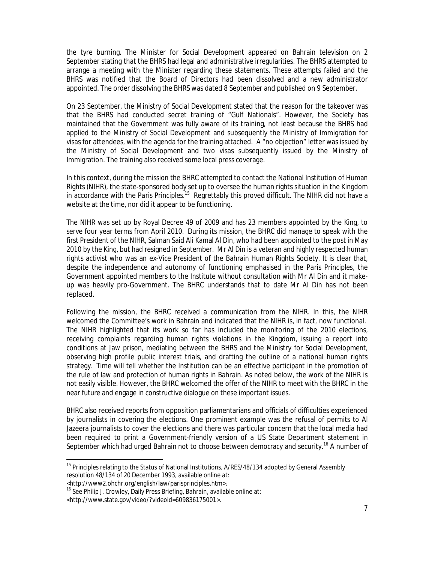the tyre burning. The Minister for Social Development appeared on Bahrain television on 2 September stating that the BHRS had legal and administrative irregularities. The BHRS attempted to arrange a meeting with the Minister regarding these statements. These attempts failed and the BHRS was notified that the Board of Directors had been dissolved and a new administrator appointed. The order dissolving the BHRS was dated 8 September and published on 9 September.

On 23 September, the Ministry of Social Development stated that the reason for the takeover was that the BHRS had conducted secret training of "Gulf Nationals". However, the Society has maintained that the Government was fully aware of its training, not least because the BHRS had applied to the Ministry of Social Development and subsequently the Ministry of Immigration for visas for attendees, with the agenda for the training attached. A "no objection" letter was issued by the Ministry of Social Development and two visas subsequently issued by the Ministry of Immigration. The training also received some local press coverage.

In this context, during the mission the BHRC attempted to contact the National Institution of Human Rights (NIHR), the state-sponsored body set up to oversee the human rights situation in the Kingdom in accordance with the Paris Principles.<sup>15</sup> Regrettably this proved difficult. The NIHR did not have a website at the time, nor did it appear to be functioning.

The NIHR was set up by Royal Decree 49 of 2009 and has 23 members appointed by the King, to serve four year terms from April 2010. During its mission, the BHRC did manage to speak with the first President of the NIHR, Salman Said Ali Kamal Al Din, who had been appointed to the post in May 2010 by the King, but had resigned in September. Mr Al Din is a veteran and highly respected human rights activist who was an ex-Vice President of the Bahrain Human Rights Society. It is clear that, despite the independence and autonomy of functioning emphasised in the *Paris Principles,* the Government appointed members to the Institute without consultation with Mr Al Din and it makeup was heavily pro-Government. The BHRC understands that to date Mr Al Din has not been replaced.

Following the mission, the BHRC received a communication from the NIHR. In this, the NIHR welcomed the Committee's work in Bahrain and indicated that the NIHR is, in fact, now functional. The NIHR highlighted that its work so far has included the monitoring of the 2010 elections, receiving complaints regarding human rights violations in the Kingdom, issuing a report into conditions at Jaw prison, mediating between the BHRS and the Ministry for Social Development, observing high profile public interest trials, and drafting the outline of a national human rights strategy. Time will tell whether the Institution can be an effective participant in the promotion of the rule of law and protection of human rights in Bahrain. As noted below, the work of the NIHR is not easily visible. However, the BHRC welcomed the offer of the NIHR to meet with the BHRC in the near future and engage in constructive dialogue on these important issues.

BHRC also received reports from opposition parliamentarians and officials of difficulties experienced by journalists in covering the elections. One prominent example was the refusal of permits to Al Jazeera journalists to cover the elections and there was particular concern that the local media had been required to print a Government-friendly version of a US State Department statement in September which had urged Bahrain not to choose between democracy and security.<sup>16</sup> A number of

<sup>&</sup>lt;sup>15</sup> Principles relating to the Status of National Institutions, A/RES/48/134 adopted by General Assembly resolution 48/134 of 20 December 1993, available online at:

<sup>&</sup>lt;http://www2.ohchr.org/english/law/parisprinciples.htm>.

<sup>16</sup> See Philip J. Crowley, Daily Press Briefing, *Bahrain*, available online at:

<sup>&</sup>lt;http://www.state.gov/video/?videoid=609836175001>.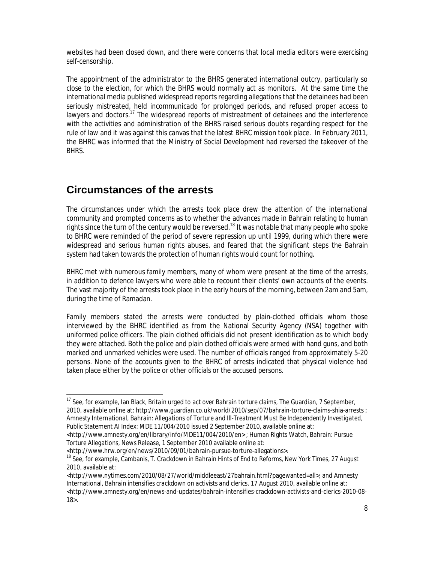websites had been closed down, and there were concerns that local media editors were exercising self-censorship.

The appointment of the administrator to the BHRS generated international outcry, particularly so close to the election, for which the BHRS would normally act as monitors. At the same time the international media published widespread reports regarding allegations that the detainees had been seriously mistreated, held *incommunicado* for prolonged periods, and refused proper access to lawyers and doctors.<sup>17</sup> The widespread reports of mistreatment of detainees and the interference with the activities and administration of the BHRS raised serious doubts regarding respect for the rule of law and it was against this canvas that the latest BHRC mission took place. In February 2011, the BHRC was informed that the Ministry of Social Development had reversed the takeover of the BHRS.

### **Circumstances of the arrests**

 $\overline{a}$ 

The circumstances under which the arrests took place drew the attention of the international community and prompted concerns as to whether the advances made in Bahrain relating to human rights since the turn of the century would be reversed.<sup>18</sup> It was notable that many people who spoke to BHRC were reminded of the period of severe repression up until 1999, during which there were widespread and serious human rights abuses, and feared that the significant steps the Bahrain system had taken towards the protection of human rights would count for nothing.

BHRC met with numerous family members, many of whom were present at the time of the arrests, in addition to defence lawyers who were able to recount their clients' own accounts of the events. The vast majority of the arrests took place in the early hours of the morning, between 2am and 5am, during the time of Ramadan.

Family members stated the arrests were conducted by plain-clothed officials whom those interviewed by the BHRC identified as from the National Security Agency (NSA) together with uniformed police officers. The plain clothed officials did not present identification as to which body they were attached. Both the police and plain clothed officials were armed with hand guns, and both marked and unmarked vehicles were used. The number of officials ranged from approximately 5-20 persons. None of the accounts given to the BHRC of arrests indicated that physical violence had taken place either by the police or other officials or the accused persons.

<sup>&</sup>lt;sup>17</sup> See, for example, Ian Black, Britain urged to act over Bahrain torture claims, The Guardian, 7 September, 2010, available online at: http://www.guardian.co.uk/world/2010/sep/07/bahrain-torture-claims-shia-arrests ; Amnesty International, *Bahrain: Allegations of Torture and Ill-Treatment Must Be Independently Investigated,*  Public Statement AI Index: MDE 11/004/2010 issued 2 September 2010, available online at:

<sup>&</sup>lt;http://www.amnesty.org/en/library/info/MDE11/004/2010/en> ; Human Rights Watch, *Bahrain: Pursue Torture Allegations,* News Release, 1 September 2010 available online at:

<sup>&</sup>lt;http://www.hrw.org/en/news/2010/09/01/bahrain-pursue-torture-allegations>.

<sup>18</sup> See, for example, Cambanis, T. *Crackdown in Bahrain Hints of End to Reforms,* New York Times, 27 August 2010, available at:

<sup>&</sup>lt;http://www.nytimes.com/2010/08/27/world/middleeast/27bahrain.html?pagewanted=all>; and Amnesty International, *Bahrain intensifies crackdown on activists and clerics,* 17 August 2010, available online at: <http://www.amnesty.org/en/news-and-updates/bahrain-intensifies-crackdown-activists-and-clerics-2010-08-18>.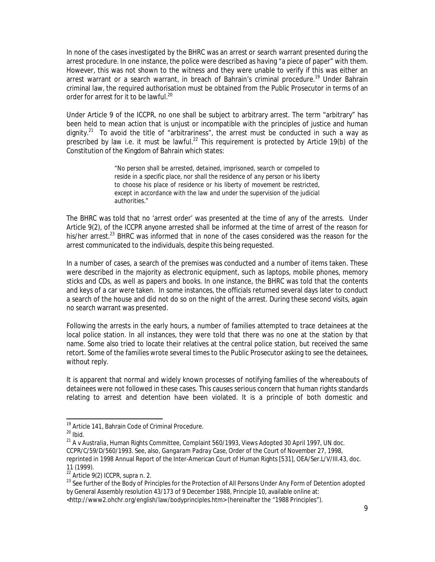In none of the cases investigated by the BHRC was an arrest or search warrant presented during the arrest procedure. In one instance, the police were described as having "a piece of paper" with them. However, this was not shown to the witness and they were unable to verify if this was either an arrest warrant or a search warrant, in breach of Bahrain's criminal procedure.<sup>19</sup> Under Bahrain criminal law, the required authorisation must be obtained from the Public Prosecutor in terms of an order for arrest for it to be lawful.<sup>20</sup>

Under Article 9 of the ICCPR, no one shall be subject to arbitrary arrest. The term "arbitrary" has been held to mean action that is unjust or incompatible with the principles of justice and human dignity.<sup>21</sup> To avoid the title of "arbitrariness", the arrest must be conducted in such a way as prescribed by law i.e. it must be lawful.<sup>22</sup> This requirement is protected by Article 19(b) of the Constitution of the Kingdom of Bahrain which states:

> *"No person shall be arrested, detained, imprisoned, search or compelled to*  reside in a specific place, nor shall the residence of any person or his liberty *to choose his place of residence or his liberty of movement be restricted,*  except in accordance with the law and under the supervision of the judicial *authorities."*

The BHRC was told that no 'arrest order' was presented at the time of any of the arrests. Under Article 9(2), of the ICCPR anyone arrested shall be informed at the time of arrest of the reason for his/her arrest.<sup>23</sup> BHRC was informed that in none of the cases considered was the reason for the arrest communicated to the individuals, despite this being requested.

In a number of cases, a search of the premises was conducted and a number of items taken. These were described in the majority as electronic equipment, such as laptops, mobile phones, memory sticks and CDs, as well as papers and books. In one instance, the BHRC was told that the contents and keys of a car were taken. In some instances, the officials returned several days later to conduct a search of the house and did not do so on the night of the arrest. During these second visits, again no search warrant was presented.

Following the arrests in the early hours, a number of families attempted to trace detainees at the local police station. In all instances, they were told that there was no one at the station by that name. Some also tried to locate their relatives at the central police station, but received the same retort. Some of the families wrote several times to the Public Prosecutor asking to see the detainees, without reply.

It is apparent that normal and widely known processes of notifying families of the whereabouts of detainees were not followed in these cases. This causes serious concern that human rights standards relating to arrest and detention have been violated. It is a principle of both domestic and

 $\overline{a}$ 

<http://www2.ohchr.org/english/law/bodyprinciples.htm> (hereinafter the "1988 Principles").

<sup>&</sup>lt;sup>19</sup> Article 141, Bahrain Code of Criminal Procedure.<br><sup>20</sup> Ibid.

<sup>21</sup> *A v Australia*, Human Rights Committee, Complaint 560/1993, Views Adopted 30 April 1997, UN doc. CCPR/C/59/D/560/1993. See, also, *Gangaram Padray Case*, Order of the Court of November 27, 1998, reprinted in 1998 Annual Report of the Inter-American Court of Human Rights [531], OEA/Ser.L/V/III.43, doc.

<sup>11 (1999).&</sup>lt;br><sup>22</sup> Article 9(2) ICCPR, supra n. 2.

<sup>&</sup>lt;sup>23</sup> See further of the Body of Principles for the Protection of All Persons Under Any Form of Detention adopted by General Assembly resolution 43/173 of 9 December 1988, Principle 10, available online at: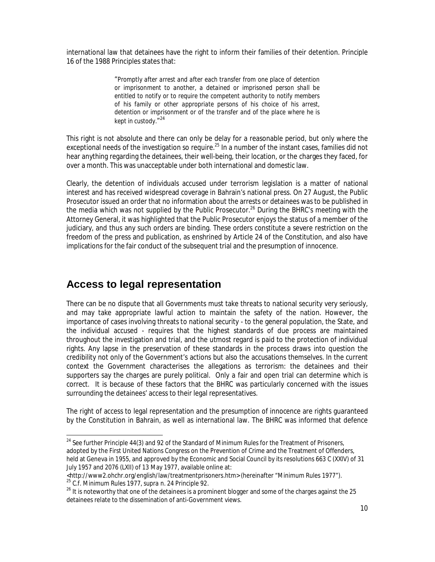international law that detainees have the right to inform their families of their detention. Principle 16 of the 1988 Principles states that:

> "*Promptly after arrest and after each transfer from one place of detention or imprisonment to another, a detained or imprisoned person shall be entitled to notify or to require the competent authority to notify members of his family or other appropriate persons of his choice of his arrest,*  detention or imprisonment or of the transfer and of the place where he is *kept in custody*." 24

This right is not absolute and there can only be delay for a reasonable period, but only where the exceptional needs of the investigation so require. $^{25}$  In a number of the instant cases, families did not hear anything regarding the detainees, their well-being, their location, or the charges they faced, for over a month. This was unacceptable under both international and domestic law.

Clearly, the detention of individuals accused under terrorism legislation is a matter of national interest and has received widespread coverage in Bahrain's national press. On 27 August, the Public Prosecutor issued an order that no information about the arrests or detainees was to be published in the media which was not supplied by the Public Prosecutor.<sup>26</sup> During the BHRC's meeting with the Attorney General, it was highlighted that the Public Prosecutor enjoys the status of a member of the judiciary, and thus any such orders are binding. These orders constitute a severe restriction on the freedom of the press and publication, as enshrined by Article 24 of the Constitution, and also have implications for the fair conduct of the subsequent trial and the presumption of innocence.

#### **Access to legal representation**

1

There can be no dispute that all Governments must take threats to national security very seriously, and may take appropriate lawful action to maintain the safety of the nation. However, the importance of cases involving threats to national security - to the general population, the State, and the individual accused - requires that the highest standards of due process are maintained throughout the investigation and trial, and the utmost regard is paid to the protection of individual rights. Any lapse in the preservation of these standards in the process draws into question the credibility not only of the Government's actions but also the accusations themselves. In the current context the Government characterises the allegations as terrorism: the detainees and their supporters say the charges are purely political. Only a fair and open trial can determine which is correct. It is because of these factors that the BHRC was particularly concerned with the issues surrounding the detainees' access to their legal representatives.

The right of access to legal representation and the presumption of innocence are rights guaranteed by the Constitution in Bahrain, as well as international law. The BHRC was informed that defence

 $^{24}$  See further Principle 44(3) and 92 of the Standard of Minimum Rules for the Treatment of Prisoners, adopted by the First United Nations Congress on the Prevention of Crime and the Treatment of Offenders, held at Geneva in 1955, and approved by the Economic and Social Council by its resolutions 663 C (XXIV) of 31 July 1957 and 2076 (LXII) of 13 May 1977, available online at:

<http://www2.ohchr.org/english/law/treatmentprisoners.htm> (hereinafter "Minimum Rules 1977").<br><sup>25</sup> C.f. Minimum Rules 1977, supra n. 24 Principle 92.

<sup>26</sup> It is noteworthy that one of the detainees is a prominent blogger and some of the charges against the 25 detainees relate to the dissemination of anti-Government views.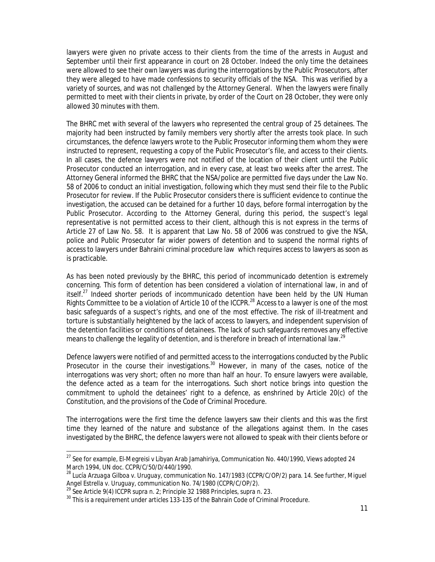lawyers were given no private access to their clients from the time of the arrests in August and September until their first appearance in court on 28 October. Indeed the only time the detainees were allowed to see their own lawyers was during the interrogations by the Public Prosecutors, after they were alleged to have made confessions to security officials of the NSA. This was verified by a variety of sources, and was not challenged by the Attorney General. When the lawyers were finally permitted to meet with their clients in private, by order of the Court on 28 October, they were only allowed 30 minutes with them.

The BHRC met with several of the lawyers who represented the central group of 25 detainees. The majority had been instructed by family members very shortly after the arrests took place. In such circumstances, the defence lawyers wrote to the Public Prosecutor informing them whom they were instructed to represent, requesting a copy of the Public Prosecutor's file, and access to their clients. In all cases, the defence lawyers were not notified of the location of their client until the Public Prosecutor conducted an interrogation, and in every case, at least two weeks after the arrest. The Attorney General informed the BHRC that the NSA/police are permitted five days under the Law No. 58 of 2006 to conduct an initial investigation, following which they must send their file to the Public Prosecutor for review. If the Public Prosecutor considers there is sufficient evidence to continue the investigation, the accused can be detained for a further 10 days, before formal interrogation by the Public Prosecutor. According to the Attorney General, during this period, the suspect's legal representative is not permitted access to their client, although this is not express in the terms of Article 27 of Law No. 58. It is apparent that Law No. 58 of 2006 was construed to give the NSA, police and Public Prosecutor far wider powers of detention and to suspend the normal rights of access to lawyers under Bahraini criminal procedure law which requires access to lawyers as soon as is practicable.

As has been noted previously by the BHRC, this period of *incommunicado* detention is extremely concerning. This form of detention has been considered a violation of international law, in and of itself.27 Indeed shorter periods of *incommunicado* detention have been held by the UN Human Rights Committee to be a violation of Article 10 of the ICCPR.<sup>28</sup> Access to a lawyer is one of the most basic safeguards of a suspect's rights, and one of the most effective. The risk of ill-treatment and torture is substantially heightened by the lack of access to lawyers, and independent supervision of the detention facilities or conditions of detainees. The lack of such safeguards removes any effective means to challenge the legality of detention, and is therefore in breach of international law.<sup>29</sup>

Defence lawyers were notified of and permitted access to the interrogations conducted by the Public Prosecutor in the course their investigations.<sup>30</sup> However, in many of the cases, notice of the interrogations was very short; often no more than half an hour. To ensure lawyers were available, the defence acted as a team for the interrogations. Such short notice brings into question the commitment to uphold the detainees' right to a defence, as enshrined by Article 20(c) of the Constitution, and the provisions of the Code of Criminal Procedure.

The interrogations were the first time the defence lawyers saw their clients and this was the first time they learned of the nature and substance of the allegations against them. In the cases investigated by the BHRC, the defence lawyers were not allowed to speak with their clients before or

<sup>&</sup>lt;sup>27</sup> See for example, El-Megreisi v Libyan Arab Jamahiriya, Communication No. 440/1990, Views adopted 24 March 1994, UN doc. CCPR/C/50/D/440/1990.

<sup>28</sup> *Lucía Arzuaga Gilboa v. Uruguay*, communication No. 147/1983 (CCPR/C/OP/2) para. 14. See further, *Miguel*  Angel Estrella v. Uruguay, communication No. 74/1980 (CCPR/C/OP/2).<br><sup>29</sup> See Article 9(4) ICCPR supra n. 2; Principle 32 1988 Principles, supra n. 23.<br><sup>30</sup> This is a requirement under articles 133-135 of the Bahrain Code o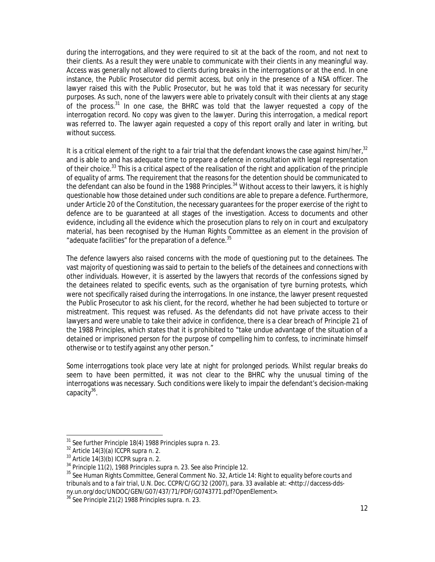during the interrogations, and they were required to sit at the back of the room, and not next to their clients. As a result they were unable to communicate with their clients in any meaningful way. Access was generally not allowed to clients during breaks in the interrogations or at the end. In one instance, the Public Prosecutor did permit access, but only in the presence of a NSA officer. The lawyer raised this with the Public Prosecutor, but he was told that it was necessary for security purposes. As such, none of the lawyers were able to privately consult with their clients at any stage of the process.31 In one case, the BHRC was told that the lawyer requested a copy of the interrogation record. No copy was given to the lawyer. During this interrogation, a medical report was referred to. The lawyer again requested a copy of this report orally and later in writing, but without success.

It is a critical element of the right to a fair trial that the defendant knows the case against him/her, $32$ and is able to and has adequate time to prepare a defence in consultation with legal representation of their choice.<sup>33</sup> This is a critical aspect of the realisation of the right and application of the principle of equality of arms. The requirement that the reasons for the detention should be communicated to the defendant can also be found in the 1988 Principles.<sup>34</sup> Without access to their lawyers, it is highly questionable how those detained under such conditions are able to prepare a defence. Furthermore, under Article 20 of the Constitution, the necessary guarantees for the proper exercise of the right to defence are to be guaranteed at all stages of the investigation. Access to documents and other evidence, including all the evidence which the prosecution plans to rely on in court and exculpatory material, has been recognised by the Human Rights Committee as an element in the provision of "adequate facilities" for the preparation of a defence.<sup>35</sup>

The defence lawyers also raised concerns with the mode of questioning put to the detainees. The vast majority of questioning was said to pertain to the beliefs of the detainees and connections with other individuals. However, it is asserted by the lawyers that records of the confessions signed by the detainees related to specific events, such as the organisation of tyre burning protests, which were not specifically raised during the interrogations. In one instance, the lawyer present requested the Public Prosecutor to ask his client, for the record, whether he had been subjected to torture or mistreatment. This request was refused. As the defendants did not have private access to their lawyers and were unable to take their advice in confidence, there is a clear breach of Principle 21 of the 1988 Principles, which states that it is prohibited to "take undue advantage of the situation of a detained or imprisoned person for the purpose of compelling him to confess, to incriminate himself otherwise or to testify against any other person."

Some interrogations took place very late at night for prolonged periods. Whilst regular breaks do seem to have been permitted, it was not clear to the BHRC why the unusual timing of the interrogations was necessary. Such conditions were likely to impair the defendant's decision-making capacity<sup>36</sup>.

1

<sup>&</sup>lt;sup>31</sup> See further Principle 18(4) 1988 Principles supra n. 23.<br><sup>32</sup> Article 14(3)(a) ICCPR supra n. 2.

<sup>32</sup> Article 14(3)(a) ICCPR supra n. 2.<br>
<sup>33</sup> Article 14(3)(b) ICCPR supra n. 2.<br>
<sup>34</sup> Principle 11(2), 1988 Principles supra n. 23. See also Principle 12.

<sup>&</sup>lt;sup>35</sup> See Human Rights Committee, General Comment No. 32, Article 14: Right to equality before courts and *tribunals and to a fair trial,* U.N. Doc. CCPR/C/GC/32 (2007), para. 33 available at: <http://daccess-ddsny.un.org/doc/UNDOC/GEN/G07/437/71/PDF/G0743771.pdf?OpenElement>.

<sup>36</sup> See Principle 21(2) 1988 Principles *supra.* n. 23.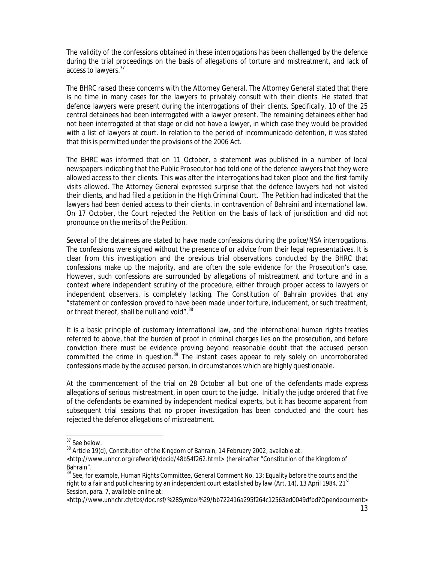The validity of the confessions obtained in these interrogations has been challenged by the defence during the trial proceedings on the basis of allegations of torture and mistreatment, and lack of access to lawyers.<sup>37</sup>

The BHRC raised these concerns with the Attorney General. The Attorney General stated that there is no time in many cases for the lawyers to privately consult with their clients. He stated that defence lawyers were present during the interrogations of their clients. Specifically, 10 of the 25 central detainees had been interrogated with a lawyer present. The remaining detainees either had not been interrogated at that stage or did not have a lawyer, in which case they would be provided with a list of lawyers at court. In relation to the period of *incommunicado* detention, it was stated that this is permitted under the provisions of the 2006 Act.

The BHRC was informed that on 11 October, a statement was published in a number of local newspapers indicating that the Public Prosecutor had told one of the defence lawyers that they were allowed access to their clients. This was after the interrogations had taken place and the first family visits allowed. The Attorney General expressed surprise that the defence lawyers had not visited their clients, and had filed a petition in the High Criminal Court. The Petition had indicated that the lawyers had been denied access to their clients, in contravention of Bahraini and international law. On 17 October, the Court rejected the Petition on the basis of lack of jurisdiction and did not pronounce on the merits of the Petition.

Several of the detainees are stated to have made confessions during the police/NSA interrogations. The confessions were signed without the presence of or advice from their legal representatives. It is clear from this investigation and the previous trial observations conducted by the BHRC that confessions make up the majority, and are often the sole evidence for the Prosecution's case. However, such confessions are surrounded by allegations of mistreatment and torture and in a context where independent scrutiny of the procedure, either through proper access to lawyers or independent observers, is completely lacking. The Constitution of Bahrain provides that any "statement or confession proved to have been made under torture, inducement, or such treatment, or threat thereof, shall be null and void".<sup>38</sup>

It is a basic principle of customary international law, and the international human rights treaties referred to above, that the burden of proof in criminal charges lies on the prosecution, and before conviction there must be evidence proving beyond reasonable doubt that the accused person committed the crime in question.39 The instant cases appear to rely solely on uncorroborated confessions made by the accused person, in circumstances which are highly questionable.

At the commencement of the trial on 28 October all but one of the defendants made express allegations of serious mistreatment, in open court to the judge. Initially the judge ordered that five of the defendants be examined by independent medical experts, but it has become apparent from subsequent trial sessions that no proper investigation has been conducted and the court has rejected the defence allegations of mistreatment.

<sup>&</sup>lt;sup>37</sup> See below.

 $38$  Article 19(d), Constitution of the Kingdom of Bahrain, 14 February 2002, available at:

<sup>&</sup>lt;http://www.unhcr.org/refworld/docid/48b54f262.html> (hereinafter "Constitution of the Kingdom of Bahrain".

<sup>39</sup> See, for example, Human Rights Committee, *General Comment No. 13: Equality before the courts and the*  right to a fair and public hearing by an independent court established by law (Art. 14), 13 April 1984, 21<sup>st</sup> Session, para. 7, available online at:

<sup>&</sup>lt;http://www.unhchr.ch/tbs/doc.nsf/%28Symbol%29/bb722416a295f264c12563ed0049dfbd?Opendocument>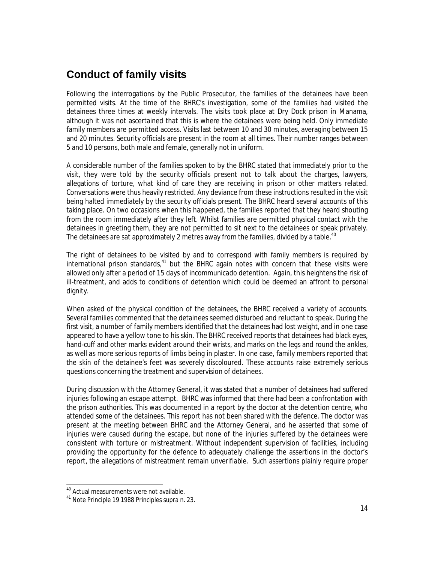#### **Conduct of family visits**

Following the interrogations by the Public Prosecutor, the families of the detainees have been permitted visits. At the time of the BHRC's investigation, some of the families had visited the detainees three times at weekly intervals. The visits took place at Dry Dock prison in Manama, although it was not ascertained that this is where the detainees were being held. Only immediate family members are permitted access. Visits last between 10 and 30 minutes, averaging between 15 and 20 minutes. Security officials are present in the room at all times. Their number ranges between 5 and 10 persons, both male and female, generally not in uniform.

A considerable number of the families spoken to by the BHRC stated that immediately prior to the visit, they were told by the security officials present not to talk about the charges, lawyers, allegations of torture, what kind of care they are receiving in prison or other matters related. Conversations were thus heavily restricted. Any deviance from these instructions resulted in the visit being halted immediately by the security officials present. The BHRC heard several accounts of this taking place. On two occasions when this happened, the families reported that they heard shouting from the room immediately after they left. Whilst families are permitted physical contact with the detainees in greeting them, they are not permitted to sit next to the detainees or speak privately. The detainees are sat approximately 2 metres away from the families, divided by a table.<sup>40</sup>

The right of detainees to be visited by and to correspond with family members is required by international prison standards, $41$  but the BHRC again notes with concern that these visits were allowed only after a period of 15 days of *incommunicado* detention. Again, this heightens the risk of ill-treatment, and adds to conditions of detention which could be deemed an affront to personal dignity.

When asked of the physical condition of the detainees, the BHRC received a variety of accounts. Several families commented that the detainees seemed disturbed and reluctant to speak. During the first visit, a number of family members identified that the detainees had lost weight, and in one case appeared to have a yellow tone to his skin. The BHRC received reports that detainees had black eyes, hand-cuff and other marks evident around their wrists, and marks on the legs and round the ankles, as well as more serious reports of limbs being in plaster. In one case, family members reported that the skin of the detainee's feet was severely discoloured. These accounts raise extremely serious questions concerning the treatment and supervision of detainees.

During discussion with the Attorney General, it was stated that a number of detainees had suffered injuries following an escape attempt. BHRC was informed that there had been a confrontation with the prison authorities. This was documented in a report by the doctor at the detention centre, who attended some of the detainees. This report has not been shared with the defence. The doctor was present at the meeting between BHRC and the Attorney General, and he asserted that some of injuries were caused during the escape, but none of the injuries suffered by the detainees were consistent with torture or mistreatment. Without independent supervision of facilities, including providing the opportunity for the defence to adequately challenge the assertions in the doctor's report, the allegations of mistreatment remain unverifiable. Such assertions plainly require proper

<sup>&</sup>lt;sup>40</sup> Actual measurements were not available.

<sup>&</sup>lt;sup>41</sup> Note Principle 19 1988 Principles supra n. 23.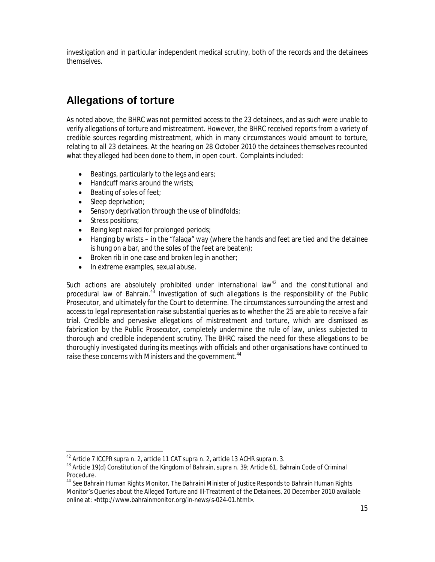investigation and in particular independent medical scrutiny, both of the records and the detainees themselves.

# **Allegations of torture**

As noted above, the BHRC was not permitted access to the 23 detainees, and as such were unable to verify allegations of torture and mistreatment. However, the BHRC received reports from a variety of credible sources regarding mistreatment, which in many circumstances would amount to torture, relating to all 23 detainees. At the hearing on 28 October 2010 the detainees themselves recounted what they alleged had been done to them, in open court. Complaints included:

- Beatings, particularly to the legs and ears;
- Handcuff marks around the wrists;
- Beating of soles of feet;
- Sleep deprivation;
- Sensory deprivation through the use of blindfolds;
- Stress positions;

 $\overline{a}$ 

- Being kept naked for prolonged periods;
- Hanging by wrists in the "falaqa" way (where the hands and feet are tied and the detainee is hung on a bar, and the soles of the feet are beaten);
- Broken rib in one case and broken leg in another;
- In extreme examples, sexual abuse.

Such actions are absolutely prohibited under international law $42$  and the constitutional and procedural law of Bahrain.<sup>43</sup> Investigation of such allegations is the responsibility of the Public Prosecutor, and ultimately for the Court to determine. The circumstances surrounding the arrest and access to legal representation raise substantial queries as to whether the 25 are able to receive a fair trial. Credible and pervasive allegations of mistreatment and torture, which are dismissed as fabrication by the Public Prosecutor, completely undermine the rule of law, unless subjected to thorough and credible independent scrutiny. The BHRC raised the need for these allegations to be thoroughly investigated during its meetings with officials and other organisations have continued to raise these concerns with Ministers and the government.<sup>44</sup>

<sup>42</sup> Article 7 ICCPR *supra* n. 2, article 11 CAT *supra* n. 2, article 13 ACHR *supra* n. 3.

<sup>43</sup> Article 19(d) Constitution of the Kingdom of Bahrain, *supra* n. 39; Article 61, Bahrain Code of Criminal Procedure.

<sup>44</sup> See Bahrain Human Rights Monitor, *The Bahraini Minister of Justice Responds to Bahrain Human Rights Monitor's Queries about the Alleged Torture and Ill-Treatment of the Detainees,* 20 December 2010 available online at: <http://www.bahrainmonitor.org/in-news/s-024-01.html>.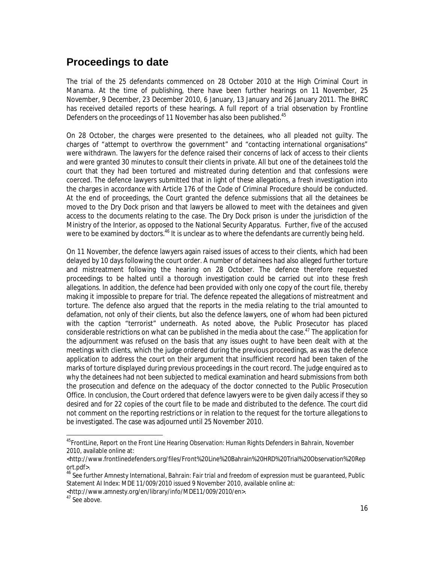#### **Proceedings to date**

The trial of the 25 defendants commenced on 28 October 2010 at the High Criminal Court in Manama. At the time of publishing, there have been further hearings on 11 November, 25 November, 9 December, 23 December 2010, 6 January, 13 January and 26 January 2011. The BHRC has received detailed reports of these hearings. A full report of a trial observation by Frontline Defenders on the proceedings of 11 November has also been published.<sup>45</sup>

On 28 October, the charges were presented to the detainees, who all pleaded not guilty. The charges of "attempt to overthrow the government" and "contacting international organisations" were withdrawn. The lawyers for the defence raised their concerns of lack of access to their clients and were granted 30 minutes to consult their clients in private. All but one of the detainees told the court that they had been tortured and mistreated during detention and that confessions were coerced. The defence lawyers submitted that in light of these allegations, a fresh investigation into the charges in accordance with Article 176 of the Code of Criminal Procedure should be conducted. At the end of proceedings, the Court granted the defence submissions that all the detainees be moved to the Dry Dock prison and that lawyers be allowed to meet with the detainees and given access to the documents relating to the case. The Dry Dock prison is under the jurisdiction of the Ministry of the Interior, as opposed to the National Security Apparatus. Further, five of the accused were to be examined by doctors.<sup>46</sup> It is unclear as to where the defendants are currently being held.

On 11 November, the defence lawyers again raised issues of access to their clients, which had been delayed by 10 days following the court order. A number of detainees had also alleged further torture and mistreatment following the hearing on 28 October. The defence therefore requested proceedings to be halted until a thorough investigation could be carried out into these fresh allegations. In addition, the defence had been provided with only one copy of the court file, thereby making it impossible to prepare for trial. The defence repeated the allegations of mistreatment and torture. The defence also argued that the reports in the media relating to the trial amounted to defamation, not only of their clients, but also the defence lawyers, one of whom had been pictured with the caption "terrorist" underneath. As noted above, the Public Prosecutor has placed considerable restrictions on what can be published in the media about the case.<sup>47</sup> The application for the adjournment was refused on the basis that any issues ought to have been dealt with at the meetings with clients, which the judge ordered during the previous proceedings, as was the defence application to address the court on their argument that insufficient record had been taken of the marks of torture displayed during previous proceedings in the court record. The judge enquired as to why the detainees had not been subjected to medical examination and heard submissions from both the prosecution and defence on the adequacy of the doctor connected to the Public Prosecution Office. In conclusion, the Court ordered that defence lawyers were to be given daily access if they so desired and for 22 copies of the court file to be made and distributed to the defence. The court did not comment on the reporting restrictions or in relation to the request for the torture allegations to be investigated. The case was adjourned until 25 November 2010.

<http://www.amnesty.org/en/library/info/MDE11/009/2010/en>.

<sup>47</sup> See above.

1

<sup>45</sup>FrontLine, *Report on the Front Line Hearing Observation: Human Rights Defenders in Bahrain,* November 2010, available online at:

<sup>&</sup>lt;http://www.frontlinedefenders.org/files/Front%20Line%20Bahrain%20HRD%20Trial%20Observation%20Rep ort.pdf>.

<sup>46</sup> See further Amnesty International, *Bahrain: Fair trial and freedom of expression must be guaranteed,* Public Statement AI Index: MDE 11/009/2010 issued 9 November 2010, available online at: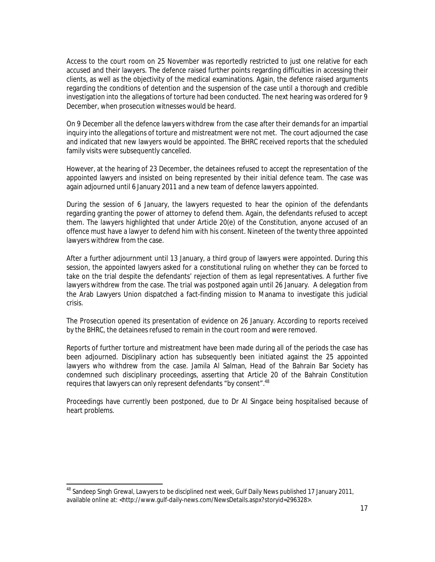Access to the court room on 25 November was reportedly restricted to just one relative for each accused and their lawyers. The defence raised further points regarding difficulties in accessing their clients, as well as the objectivity of the medical examinations. Again, the defence raised arguments regarding the conditions of detention and the suspension of the case until a thorough and credible investigation into the allegations of torture had been conducted. The next hearing was ordered for 9 December, when prosecution witnesses would be heard.

On 9 December all the defence lawyers withdrew from the case after their demands for an impartial inquiry into the allegations of torture and mistreatment were not met. The court adjourned the case and indicated that new lawyers would be appointed. The BHRC received reports that the scheduled family visits were subsequently cancelled.

However, at the hearing of 23 December, the detainees refused to accept the representation of the appointed lawyers and insisted on being represented by their initial defence team. The case was again adjourned until 6 January 2011 and a new team of defence lawyers appointed.

During the session of 6 January, the lawyers requested to hear the opinion of the defendants regarding granting the power of attorney to defend them. Again, the defendants refused to accept them. The lawyers highlighted that under Article 20(e) of the Constitution, anyone accused of an offence must have a lawyer to defend him with his consent. Nineteen of the twenty three appointed lawyers withdrew from the case.

After a further adjournment until 13 January, a third group of lawyers were appointed. During this session, the appointed lawyers asked for a constitutional ruling on whether they can be forced to take on the trial despite the defendants' rejection of them as legal representatives. A further five lawyers withdrew from the case. The trial was postponed again until 26 January. A delegation from the Arab Lawyers Union dispatched a fact-finding mission to Manama to investigate this judicial crisis.

The Prosecution opened its presentation of evidence on 26 January. According to reports received by the BHRC, the detainees refused to remain in the court room and were removed.

Reports of further torture and mistreatment have been made during all of the periods the case has been adjourned. Disciplinary action has subsequently been initiated against the 25 appointed lawyers who withdrew from the case. Jamila Al Salman, Head of the Bahrain Bar Society has condemned such disciplinary proceedings, asserting that Article 20 of the Bahrain Constitution requires that lawyers can only represent defendants "by consent".<sup>48</sup>

Proceedings have currently been postponed, due to Dr Al Singace being hospitalised because of heart problems.

<sup>48</sup> Sandeep Singh Grewal, *Lawyers to be disciplined next week,* Gulf Daily News published 17 January 2011, available online at: <http://www.gulf-daily-news.com/NewsDetails.aspx?storyid=296328>.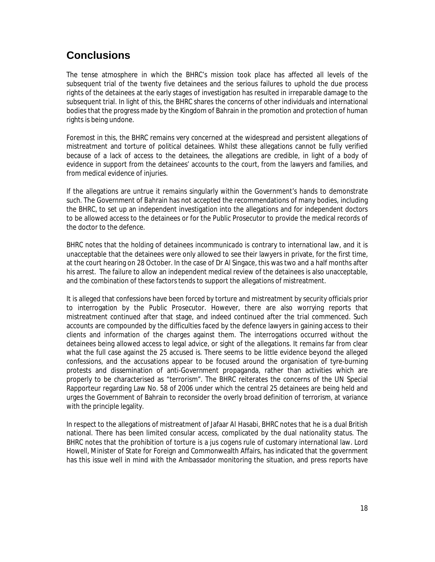# **Conclusions**

The tense atmosphere in which the BHRC's mission took place has affected all levels of the subsequent trial of the twenty five detainees and the serious failures to uphold the due process rights of the detainees at the early stages of investigation has resulted in irreparable damage to the subsequent trial. In light of this, the BHRC shares the concerns of other individuals and international bodies that the progress made by the Kingdom of Bahrain in the promotion and protection of human rights is being undone.

Foremost in this, the BHRC remains very concerned at the widespread and persistent allegations of mistreatment and torture of political detainees. Whilst these allegations cannot be fully verified because of a lack of access to the detainees, the allegations are credible, in light of a body of evidence in support from the detainees' accounts to the court, from the lawyers and families, and from medical evidence of injuries.

If the allegations are untrue it remains singularly within the Government's hands to demonstrate such. The Government of Bahrain has not accepted the recommendations of many bodies, including the BHRC, to set up an independent investigation into the allegations and for independent doctors to be allowed access to the detainees or for the Public Prosecutor to provide the medical records of the doctor to the defence.

BHRC notes that the holding of detainees *incommunicado* is contrary to international law, and it is unacceptable that the detainees were only allowed to see their lawyers in private, for the first time, at the court hearing on 28 October. In the case of Dr Al Singace, this was two and a half months after his arrest. The failure to allow an independent medical review of the detainees is also unacceptable, and the combination of these factors tends to support the allegations of mistreatment.

It is alleged that confessions have been forced by torture and mistreatment by security officials prior to interrogation by the Public Prosecutor. However, there are also worrying reports that mistreatment continued after that stage, and indeed continued after the trial commenced. Such accounts are compounded by the difficulties faced by the defence lawyers in gaining access to their clients and information of the charges against them. The interrogations occurred without the detainees being allowed access to legal advice, or sight of the allegations. It remains far from clear what the full case against the 25 accused is. There seems to be little evidence beyond the alleged confessions, and the accusations appear to be focused around the organisation of tyre-burning protests and dissemination of anti-Government propaganda, rather than activities which are properly to be characterised as "terrorism". The BHRC reiterates the concerns of the UN Special Rapporteur regarding Law No. 58 of 2006 under which the central 25 detainees are being held and urges the Government of Bahrain to reconsider the overly broad definition of terrorism, at variance with the principle legality.

In respect to the allegations of mistreatment of Jafaar Al Hasabi, BHRC notes that he is a dual British national. There has been limited consular access, complicated by the dual nationality status. The BHRC notes that the prohibition of torture is a *jus cogens* rule of customary international law. Lord Howell, Minister of State for Foreign and Commonwealth Affairs, has indicated that the government has this issue well in mind with the Ambassador monitoring the situation, and press reports have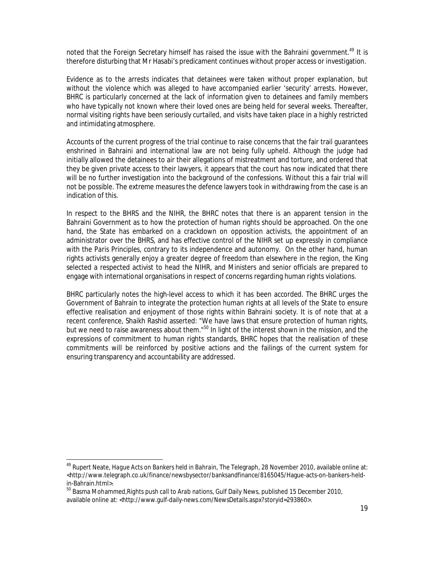noted that the Foreign Secretary himself has raised the issue with the Bahraini government.<sup>49</sup> It is therefore disturbing that Mr Hasabi's predicament continues without proper access or investigation.

Evidence as to the arrests indicates that detainees were taken without proper explanation, but without the violence which was alleged to have accompanied earlier 'security' arrests. However, BHRC is particularly concerned at the lack of information given to detainees and family members who have typically not known where their loved ones are being held for several weeks. Thereafter, normal visiting rights have been seriously curtailed, and visits have taken place in a highly restricted and intimidating atmosphere.

Accounts of the current progress of the trial continue to raise concerns that the fair trail guarantees enshrined in Bahraini and international law are not being fully upheld. Although the judge had initially allowed the detainees to air their allegations of mistreatment and torture, and ordered that they be given private access to their lawyers, it appears that the court has now indicated that there will be no further investigation into the background of the confessions. Without this a fair trial will not be possible. The extreme measures the defence lawyers took in withdrawing from the case is an indication of this.

In respect to the BHRS and the NIHR, the BHRC notes that there is an apparent tension in the Bahraini Government as to how the protection of human rights should be approached. On the one hand, the State has embarked on a crackdown on opposition activists, the appointment of an administrator over the BHRS, and has effective control of the NIHR set up expressly in compliance with the *Paris Principles*, contrary to its independence and autonomy. On the other hand, human rights activists generally enjoy a greater degree of freedom than elsewhere in the region, the King selected a respected activist to head the NIHR, and Ministers and senior officials are prepared to engage with international organisations in respect of concerns regarding human rights violations.

BHRC particularly notes the high-level access to which it has been accorded. The BHRC urges the Government of Bahrain to integrate the protection human rights at all levels of the State to ensure effective realisation and enjoyment of those rights within Bahraini society. It is of note that at a recent conference, Shaikh Rashid asserted: "We have laws that ensure protection of human rights, but we need to raise awareness about them."<sup>50</sup> In light of the interest shown in the mission, and the expressions of commitment to human rights standards, BHRC hopes that the realisation of these commitments will be reinforced by positive actions and the failings of the current system for ensuring transparency and accountability are addressed.

<sup>49</sup> Rupert Neate, *Hague Acts on Bankers held in Bahrain,* The Telegraph, 28 November 2010, available online at: <http://www.telegraph.co.uk/finance/newsbysector/banksandfinance/8165045/Hague-acts-on-bankers-heldin-Bahrain.html>.

<sup>50</sup> Basma Mohammed,*Rights push call to Arab nations,* Gulf Daily News, published 15 December 2010, available online at: <http://www.gulf-daily-news.com/NewsDetails.aspx?storyid=293860>.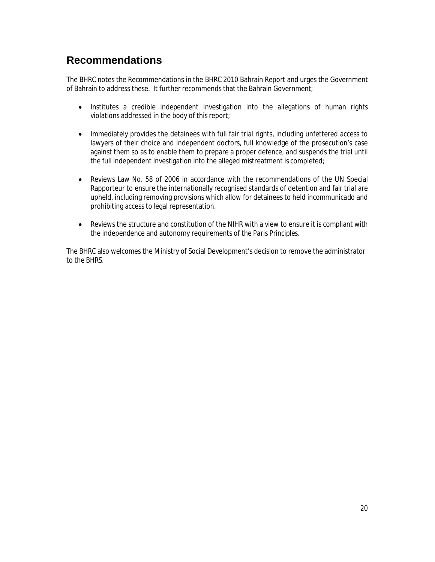## **Recommendations**

The BHRC notes the Recommendations in the BHRC 2010 Bahrain Report and urges the Government of Bahrain to address these. It further recommends that the Bahrain Government;

- Institutes a credible independent investigation into the allegations of human rights violations addressed in the body of this report;
- Immediately provides the detainees with full fair trial rights, including unfettered access to lawyers of their choice and independent doctors, full knowledge of the prosecution's case against them so as to enable them to prepare a proper defence, and suspends the trial until the full independent investigation into the alleged mistreatment is completed;
- Reviews Law No. 58 of 2006 in accordance with the recommendations of the UN Special Rapporteur to ensure the internationally recognised standards of detention and fair trial are upheld, including removing provisions which allow for detainees to held *incommunicado* and prohibiting access to legal representation.
- Reviews the structure and constitution of the NIHR with a view to ensure it is compliant with the independence and autonomy requirements of the *Paris Principles*.

The BHRC also welcomes the Ministry of Social Development's decision to remove the administrator to the BHRS.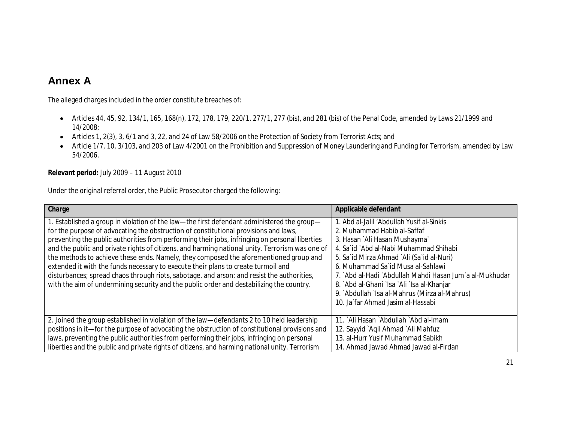### **Annex A**

The alleged charges included in the order constitute breaches of:

- Articles 44, 45, 92, 134/1, 165, 168(n), 172, 178, 179, 220/1, 277/1, 277 (*bis*), and 281 (*bis*) of the Penal Code, amended by Laws 21/1999 and 14/2008;
- Articles 1, 2(3), 3, 6/1 and 3, 22, and 24 of Law 58/2006 on the Protection of Society from Terrorist Acts; and
- Article 1/7, 10, 3/103, and 203 of Law 4/2001 on the Prohibition and Suppression of Money Laundering and Funding for Terrorism, amended by Law 54/2006.

**Relevant period:** July 2009 – 11 August 2010

Under the original referral order, the Public Prosecutor charged the following:

| Charge                                                                                                                                                                                                                                                                                                                                                                                                                                                                                                                                                                                                                                                                                                                                                          | Applicable defendant                                                                                                                                                                                                                                                                                                                                                                                                               |
|-----------------------------------------------------------------------------------------------------------------------------------------------------------------------------------------------------------------------------------------------------------------------------------------------------------------------------------------------------------------------------------------------------------------------------------------------------------------------------------------------------------------------------------------------------------------------------------------------------------------------------------------------------------------------------------------------------------------------------------------------------------------|------------------------------------------------------------------------------------------------------------------------------------------------------------------------------------------------------------------------------------------------------------------------------------------------------------------------------------------------------------------------------------------------------------------------------------|
| 1. Established a group in violation of the law—the first defendant administered the group—<br>for the purpose of advocating the obstruction of constitutional provisions and laws,<br>preventing the public authorities from performing their jobs, infringing on personal liberties<br>and the public and private rights of citizens, and harming national unity. Terrorism was one of<br>the methods to achieve these ends. Namely, they composed the aforementioned group and<br>extended it with the funds necessary to execute their plans to create turmoil and<br>disturbances; spread chaos through riots, sabotage, and arson; and resist the authorities,<br>with the aim of undermining security and the public order and destabilizing the country. | . Abd al-Jalil 'Abdullah Yusif al-Sinkis<br>2. Muhammad Habib al-Saffaf<br>3. Hasan `Ali Hasan Mushayma`<br>4. Sa`id `Abd al-Nabi Muhammad Shihabi<br>5. Sa`id Mirza Ahmad `Ali (Sa`id al-Nuri)<br>6. Muhammad Sa`id Musa al-Sahlawi<br>7. `Abd al-Hadi `Abdullah Mahdi Hasan Jum`a al-Mukhudar<br>8. `Abd al-Ghani `Isa `Ali `Isa al-Khanjar<br>9. Abdullah `Isa al-Mahrus (Mirza al-Mahrus)<br>10. Ja`far Ahmad Jasim al-Hassabi |
| 2. Joined the group established in violation of the law—defendants 2 to 10 held leadership<br>positions in it—for the purpose of advocating the obstruction of constitutional provisions and<br>laws, preventing the public authorities from performing their jobs, infringing on personal<br>liberties and the public and private rights of citizens, and harming national unity. Terrorism                                                                                                                                                                                                                                                                                                                                                                    | 11. `Ali Hasan `Abdullah `Abd al-Imam<br>12. Sayyid`Aqil Ahmad`Ali Mahfuz<br>13. al-Hurr Yusif Muhammad Sabikh<br>14. Ahmad Jawad Ahmad Jawad al-Firdan                                                                                                                                                                                                                                                                            |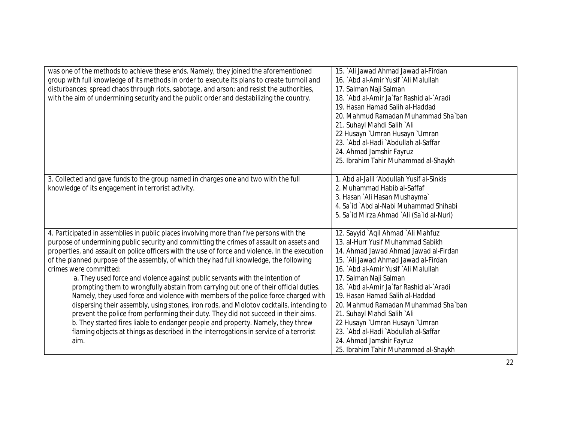| was one of the methods to achieve these ends. Namely, they joined the aforementioned<br>group with full knowledge of its methods in order to execute its plans to create turmoil and<br>disturbances; spread chaos through riots, sabotage, and arson; and resist the authorities,<br>with the aim of undermining security and the public order and destabilizing the country.                                                                                                                                                                                                                                                                                                                                                                                                                                                                                                                                                                                                                                                                      | 15. `Ali Jawad Ahmad Jawad al-Firdan<br>16. `Abd al-Amir Yusif `Ali Malullah<br>17. Salman Naji Salman<br>18. `Abd al-Amir Ja`far Rashid al-`Aradi<br>19. Hasan Hamad Salih al-Haddad<br>20. Mahmud Ramadan Muhammad Sha`ban<br>21. Suhayl Mahdi Salih `Ali<br>22 Husayn `Umran Husayn `Umran<br>23. Abd al-Hadi `Abdullah al-Saffar<br>24. Ahmad Jamshir Fayruz<br>25. Ibrahim Tahir Muhammad al-Shaykh                                                                                                                     |
|-----------------------------------------------------------------------------------------------------------------------------------------------------------------------------------------------------------------------------------------------------------------------------------------------------------------------------------------------------------------------------------------------------------------------------------------------------------------------------------------------------------------------------------------------------------------------------------------------------------------------------------------------------------------------------------------------------------------------------------------------------------------------------------------------------------------------------------------------------------------------------------------------------------------------------------------------------------------------------------------------------------------------------------------------------|------------------------------------------------------------------------------------------------------------------------------------------------------------------------------------------------------------------------------------------------------------------------------------------------------------------------------------------------------------------------------------------------------------------------------------------------------------------------------------------------------------------------------|
| 3. Collected and gave funds to the group named in charges one and two with the full<br>knowledge of its engagement in terrorist activity.                                                                                                                                                                                                                                                                                                                                                                                                                                                                                                                                                                                                                                                                                                                                                                                                                                                                                                           | 1. Abd al-Jalil 'Abdullah Yusif al-Sinkis<br>2. Muhammad Habib al-Saffaf<br>3. Hasan `Ali Hasan Mushayma`<br>4. Sa'id `Abd al-Nabi Muhammad Shihabi<br>5. Sa`id Mirza Ahmad `Ali (Sa`id al-Nuri)                                                                                                                                                                                                                                                                                                                             |
| 4. Participated in assemblies in public places involving more than five persons with the<br>purpose of undermining public security and committing the crimes of assault on assets and<br>properties, and assault on police officers with the use of force and violence. In the execution<br>of the planned purpose of the assembly, of which they had full knowledge, the following<br>crimes were committed:<br>a. They used force and violence against public servants with the intention of<br>prompting them to wrongfully abstain from carrying out one of their official duties.<br>Namely, they used force and violence with members of the police force charged with<br>dispersing their assembly, using stones, iron rods, and Molotov cocktails, intending to<br>prevent the police from performing their duty. They did not succeed in their aims.<br>b. They started fires liable to endanger people and property. Namely, they threw<br>flaming objects at things as described in the interrogations in service of a terrorist<br>aim. | 12. Sayyid `Aqil Ahmad `Ali Mahfuz<br>13. al-Hurr Yusif Muhammad Sabikh<br>14. Ahmad Jawad Ahmad Jawad al-Firdan<br>15. `Ali Jawad Ahmad Jawad al-Firdan<br>16. `Abd al-Amir Yusif `Ali Malullah<br>17. Salman Naji Salman<br>18. `Abd al-Amir Ja`far Rashid al-`Aradi<br>19. Hasan Hamad Salih al-Haddad<br>20. Mahmud Ramadan Muhammad Sha`ban<br>21. Suhayl Mahdi Salih `Ali<br>22 Husayn `Umran Husayn `Umran<br>23. Abd al-Hadi `Abdullah al-Saffar<br>24. Ahmad Jamshir Fayruz<br>25. Ibrahim Tahir Muhammad al-Shaykh |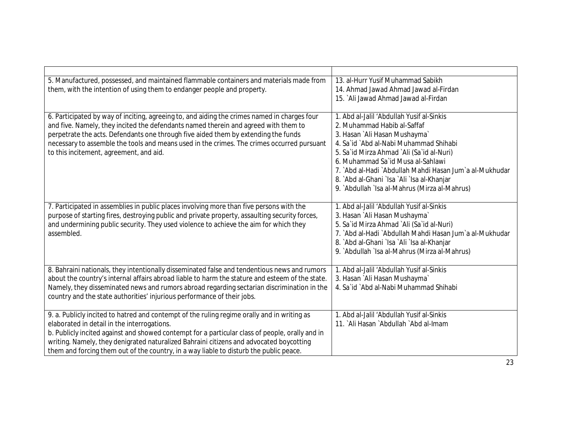| 5. Manufactured, possessed, and maintained flammable containers and materials made from<br>them, with the intention of using them to endanger people and property.                                                                                                                                                                                                                                                                 | 13. al-Hurr Yusif Muhammad Sabikh<br>14. Ahmad Jawad Ahmad Jawad al-Firdan<br>15. `Ali Jawad Ahmad Jawad al-Firdan                                                                                                                                                                                                                                                                              |
|------------------------------------------------------------------------------------------------------------------------------------------------------------------------------------------------------------------------------------------------------------------------------------------------------------------------------------------------------------------------------------------------------------------------------------|-------------------------------------------------------------------------------------------------------------------------------------------------------------------------------------------------------------------------------------------------------------------------------------------------------------------------------------------------------------------------------------------------|
| 6. Participated by way of inciting, agreeing to, and aiding the crimes named in charges four<br>and five. Namely, they incited the defendants named therein and agreed with them to<br>perpetrate the acts. Defendants one through five aided them by extending the funds<br>necessary to assemble the tools and means used in the crimes. The crimes occurred pursuant<br>to this incitement, agreement, and aid.                 | 1. Abd al-Jalil 'Abdullah Yusif al-Sinkis<br>2. Muhammad Habib al-Saffaf<br>3. Hasan `Ali Hasan Mushayma`<br>4. Sa'id `Abd al-Nabi Muhammad Shihabi<br>5. Sa`id Mirza Ahmad `Ali (Sa`id al-Nuri)<br>6. Muhammad Sa`id Musa al-Sahlawi<br>7. `Abd al-Hadi `Abdullah Mahdi Hasan Jum`a al-Mukhudar<br>8. `Abd al-Ghani `Isa `Ali `Isa al-Khanjar<br>9. `Abdullah `Isa al-Mahrus (Mirza al-Mahrus) |
| 7. Participated in assemblies in public places involving more than five persons with the<br>purpose of starting fires, destroying public and private property, assaulting security forces,<br>and undermining public security. They used violence to achieve the aim for which they<br>assembled.                                                                                                                                  | 1. Abd al-Jalil 'Abdullah Yusif al-Sinkis<br>3. Hasan `Ali Hasan Mushayma`<br>5. Sa`id Mirza Ahmad `Ali (Sa`id al-Nuri)<br>7. `Abd al-Hadi `Abdullah Mahdi Hasan Jum`a al-Mukhudar<br>8. `Abd al-Ghani `Isa `Ali `Isa al-Khanjar<br>9. Abdullah `Isa al-Mahrus (Mirza al-Mahrus)                                                                                                                |
| 8. Bahraini nationals, they intentionally disseminated false and tendentious news and rumors<br>about the country's internal affairs abroad liable to harm the stature and esteem of the state.<br>Namely, they disseminated news and rumors abroad regarding sectarian discrimination in the<br>country and the state authorities' injurious performance of their jobs.                                                           | 1. Abd al-Jalil 'Abdullah Yusif al-Sinkis<br>3. Hasan `Ali Hasan Mushayma`<br>4. Sa`id `Abd al-Nabi Muhammad Shihabi                                                                                                                                                                                                                                                                            |
| 9. a. Publicly incited to hatred and contempt of the ruling regime orally and in writing as<br>elaborated in detail in the interrogations.<br>b. Publicly incited against and showed contempt for a particular class of people, orally and in<br>writing. Namely, they denigrated naturalized Bahraini citizens and advocated boycotting<br>them and forcing them out of the country, in a way liable to disturb the public peace. | 1. Abd al-Jalil 'Abdullah Yusif al-Sinkis<br>11. `Ali Hasan `Abdullah `Abd al-Imam                                                                                                                                                                                                                                                                                                              |